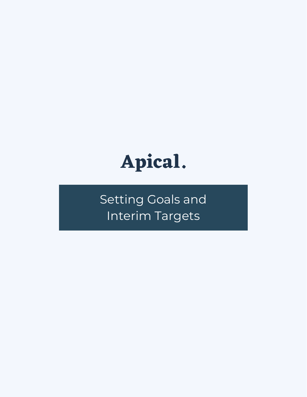

Setting Goals and Interim Targets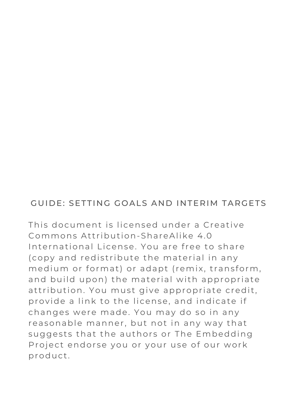### GUIDE: SETTING GOALS AND INTERIM TARGETS

This document is licensed under a Creative Commons Attribution-ShareAlike 4.0 International License. You are free to share (copy and redistribute the material in any medium or format) or adapt (remix, transform, and build upon) the material with appropriate attribution. You must give appropriate credit, provide a link to the license, and indicate if changes were made. You may do so in any reasonable manner, but not in any way that suggests that the authors or The Embedding Project endorse you or your use of our work product .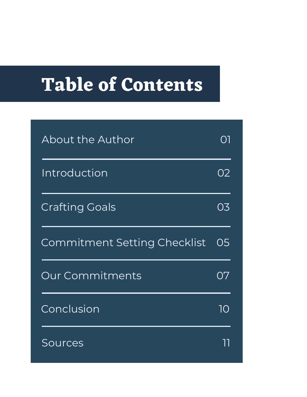# **Table of Contents**

| About the Author                    | $\bigcap$ |
|-------------------------------------|-----------|
| Introduction                        | 02        |
| <b>Crafting Goals</b>               | O3        |
| <b>Commitment Setting Checklist</b> | O5        |
| <b>Our Commitments</b>              | Ο7        |
| Conclusion                          | 1Q        |
| Sources                             |           |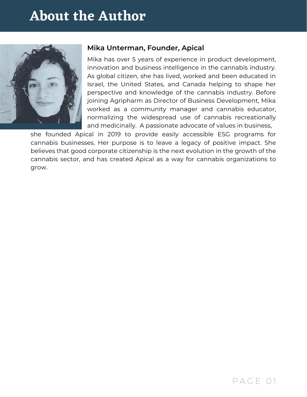# **About the Author**



### **Mika Unterman, Founder, Apical**

Mika has over 5 years of experience in product development, innovation and business intelligence in the cannabis industry. As global citizen, she has lived, worked and been educated in Israel, the United States, and Canada helping to shape her perspective and knowledge of the cannabis industry. Before joining Agripharm as Director of Business Development, Mika worked as a community manager and cannabis educator, normalizing the widespread use of cannabis recreationally and medicinally. A passionate advocate of values in business,

she founded Apical in 2019 to provide easily accessible ESG programs for cannabis businesses. Her purpose is to leave a legacy of positive impact. She believes that good corporate citizenship is the next evolution in the growth of the cannabis sector, and has created Apical as a way for cannabis organizations to grow.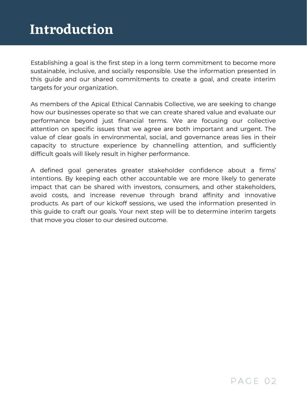## **Introduction**

Establishing a goal is the first step in a long term commitment to become more sustainable, inclusive, and socially responsible. Use the information presented in this guide and our shared commitments to create a goal, and create interim targets for your organization.

As members of the Apical Ethical Cannabis Collective, we are seeking to change how our businesses operate so that we can create shared value and evaluate our performance beyond just financial terms. We are focusing our collective attention on specific issues that we agree are both important and urgent. The value of clear goals in environmental, social, and governance areas lies in their capacity to structure experience by channelling attention, and sufficiently difficult goals will likely result in higher performance.

A defined goal generates greater stakeholder confidence about a firms' intentions. By keeping each other accountable we are more likely to generate impact that can be shared with investors, consumers, and other stakeholders, avoid costs, and increase revenue through brand affinity and innovative products. As part of our kickoff sessions, we used the information presented in this guide to craft our goals. Your next step will be to determine interim targets that move you closer to our desired outcome.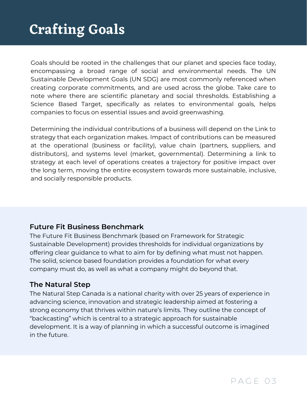# **Crafting Goals**

Goals should be rooted in the challenges that our planet and species face today, encompassing a broad range of social and environmental needs. The UN Sustainable Development Goals (UN SDG) are most commonly referenced when creating corporate commitments, and are used across the globe. Take care to note where there are scientific planetary and social thresholds. Establishing a Science Based Target, specifically as relates to environmental goals, helps companies to focus on essential issues and avoid greenwashing.

Determining the individual contributions of a business will depend on the Link to strategy that each organization makes. Impact of contributions can be measured at the operational (business or facility), value chain (partners, suppliers, and distributors), and systems level (market, governmental). Determining a link to strategy at each level of operations creates a trajectory for positive impact over the long term, moving the entire ecosystem towards more sustainable, inclusive, and socially responsible products.

### **Future Fit Business Benchmark**

The Future Fit Business [Benchmark](http://futurefitbusiness.org/) (based on Framework for Strategic Sustainable Development) provides thresholds for individual organizations by offering clear guidance to what to aim for by defining what must not happen. The solid, science based foundation provides a foundation for what every company must do, as well as what a company might do beyond that.

### **The Natural Step**

The Natural Step [Canada](https://www.naturalstep.ca/) is a national charity with over 25 years of experience in advancing science, innovation and strategic leadership aimed at fostering a strong economy that thrives within nature's limits. They outline the concept of ["backcasting"](https://www.naturalstep.ca/backcasting) which is central to a strategic approach for sustainable development. It is a way of planning in which a successful outcome is imagined in the future.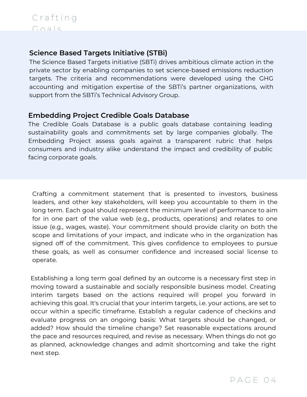### **Science Based Targets Initiative (STBi)**

The Science Based Targets [initiative](https://sciencebasedtargets.org/about-us) (SBTi) drives ambitious climate action in the private sector by enabling companies to set science-based emissions reduction targets. The criteria and recommendations were developed using the GHG accounting and mitigation expertise of the SBTi's partner organizations, with support from the SBTi's Technical Advisory Group.

### **Embedding Project Credible Goals Database**

The Credible Goals [Database](https://www.embeddingproject.org/goals-database) is a public goals database containing leading sustainability goals and commitments set by large companies globally. The Embedding Project assess goals against a transparent rubric that helps consumers and industry alike understand the impact and credibility of public facing corporate goals.

Crafting a commitment statement that is presented to investors, business leaders, and other key stakeholders, will keep you accountable to them in the long term. Each goal should represent the minimum level of performance to aim for in one part of the value web (e.g., products, operations) and relates to one issue (e.g., wages, waste). Your commitment should provide clarity on both the scope and limitations of your impact, and indicate who in the organization has signed off of the commitment. This gives confidence to employees to pursue these goals, as well as consumer confidence and increased social license to operate.

Establishing a long term goal defined by an outcome is a necessary first step in moving toward a sustainable and socially responsible business model. Creating interim targets based on the actions required will propel you forward in achieving this goal. It's crucial that your interim targets, i.e. your actions, are set to occur within a specific timeframe. Establish a regular cadence of checkins and evaluate progress on an ongoing basis: What targets should be changed, or added? How should the timeline change? Set reasonable expectations around the pace and resources required, and revise as necessary. When things do not go as planned, acknowledge changes and admit shortcoming and take the right next step.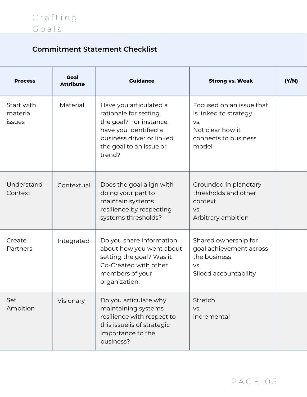### **Commitment Statement Checklist**

| <b>Process</b>                          | Goal<br><b>Attribute</b> | <b>Guidance</b>                                                                                                                                                       | <b>Strong vs. Weak</b>                                                                                        | (Y/N) |
|-----------------------------------------|--------------------------|-----------------------------------------------------------------------------------------------------------------------------------------------------------------------|---------------------------------------------------------------------------------------------------------------|-------|
| Start with<br>material<br><i>issues</i> | Material                 | Have you articulated a<br>rationale for setting<br>the goal? For instance,<br>have you identified a<br>business driver or linked<br>the goal to an issue or<br>trend? | Focused on an issue that<br>is linked to strategy<br>VS.<br>Not clear how it<br>connects to business<br>model |       |
| Understand<br>Context                   | Contextual               | Does the goal align with<br>doing your part to<br>maintain systems<br>resilience by respecting<br>systems thresholds?                                                 | Grounded in planetary<br>thresholds and other<br>context<br>VS.<br>Arbitrary ambition                         |       |
| Create<br>Partners                      | Integrated               | Do you share information<br>about how you went about<br>setting the goal? Was it<br>Co-Created with other<br>members of your<br>organization.                         | Shared ownership for<br>goal achievement across<br>the business<br>VS.<br>Siloed accountability               |       |
| Set<br>Ambition                         | Visionary                | Do you articulate why<br>maintaining systems<br>resilience with respect to<br>this issue is of strategic<br>importance to the<br>business?                            | Stretch<br>VS.<br>incremental                                                                                 |       |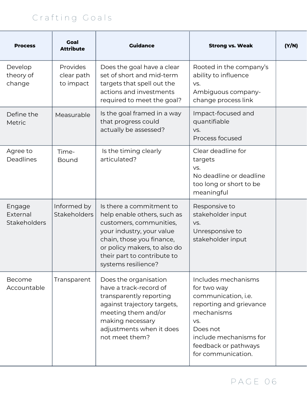### C r a f t i n g G o a l s

| <b>Process</b>                     | <b>Goal</b><br><b>Attribute</b>            | <b>Guidance</b>                                                                                                                                                                                                                    | <b>Strong vs. Weak</b>                                                                                                                                                                        | (Y/N) |
|------------------------------------|--------------------------------------------|------------------------------------------------------------------------------------------------------------------------------------------------------------------------------------------------------------------------------------|-----------------------------------------------------------------------------------------------------------------------------------------------------------------------------------------------|-------|
| Develop<br>theory of<br>change     | <b>Provides</b><br>clear path<br>to impact | Does the goal have a clear<br>set of short and mid-term<br>targets that spell out the<br>actions and investments<br>required to meet the goal?                                                                                     | Rooted in the company's<br>ability to influence<br>VS.<br>Ambiguous company-<br>change process link                                                                                           |       |
| Define the<br>Metric               | Measurable                                 | Is the goal framed in a way<br>that progress could<br>actually be assessed?                                                                                                                                                        | Impact-focused and<br>quantifiable<br>VS.<br>Process focused                                                                                                                                  |       |
| Agree to<br>Deadlines              | Time-<br><b>Bound</b>                      | Is the timing clearly<br>articulated?                                                                                                                                                                                              | Clear deadline for<br>targets<br>VS.<br>No deadline or deadline<br>too long or short to be<br>meaningful                                                                                      |       |
| Engage<br>External<br>Stakeholders | Informed by<br><b>Stakeholders</b>         | Is there a commitment to<br>help enable others, such as<br>customers, communities,<br>your industry, your value<br>chain, those you finance,<br>or policy makers, to also do<br>their part to contribute to<br>systems resilience? | Responsive to<br>stakeholder input<br>VS.<br>Unresponsive to<br>stakeholder input                                                                                                             |       |
| Become<br>Accountable              | Transparent                                | Does the organisation<br>have a track-record of<br>transparently reporting<br>against trajectory targets,<br>meeting them and/or<br>making necessary<br>adjustments when it does<br>not meet them?                                 | Includes mechanisms<br>for two way<br>communication, i.e.<br>reporting and grievance<br>mechanisms<br>VS.<br>Does not<br>include mechanisms for<br>feedback or pathways<br>for communication. |       |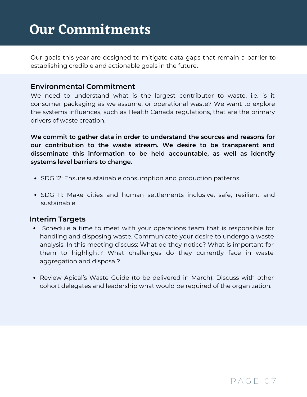# **Our Commitments**

Our goals this year are designed to mitigate data gaps that remain a barrier to establishing credible and actionable goals in the future.

### **Environmental Commitment**

We need to understand what is the largest contributor to waste, i.e. is it consumer packaging as we assume, or operational waste? We want to explore the systems influences, such as Health Canada regulations, that are the primary drivers of waste creation.

**We commit to gather data in order to understand the sources and reasons for our contribution to the waste stream. We desire to be transparent and disseminate this information to be held accountable, as well as identify systems level barriers to change.**

- [SDG](https://sdgs.un.org/goals/goal12) 12: Ensure sustainable consumption and production patterns.
- [SDG](https://sdgs.un.org/goals/goal11) 11: Make cities and human settlements inclusive, safe, resilient and sustainable.

#### **Interim Targets**

- Schedule a time to meet with your operations team that is responsible for handling and disposing waste. [Communicate](https://sdgs.un.org/goals/goal12) your desire to undergo a waste analysis. In this meeting discuss: What do they notice? What is important for them to highlight? What challenges do they currently face in waste aggregation and disposal?
- Review Apical's Waste Guide (to be delivered in March). Discuss with other cohort delegates and leadership what would be required of the [organization.](https://sdgs.un.org/goals/goal12)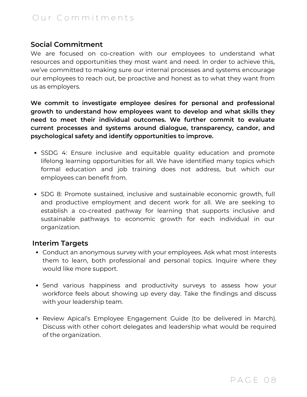### Our Commitments

### **Social Commitment**

We are focused on co-creation with our employees to understand what resources and opportunities they most want and need. In order to achieve this, we've committed to making sure our internal processes and systems encourage our employees to reach out, be proactive and honest as to what they want from us as employers.

**We commit to investigate employee desires for personal and professional growth to understand how employees want to develop and what skills they need to meet their individual outcomes. We further commit to evaluate current processes and systems around dialogue, transparency, candor, and psychological safety and identify opportunities to improve.**

- SSDG 4: Ensure inclusive and equitable quality [education and](https://sdgs.un.org/goals/goal12) promote lifelong learning opportunities for all. We have identified many topics which formal education and job training does not address, but which our employees can benefit from[.](https://sdgs.un.org/goals/goal12)
- SDG 8: Promote sustained, inclusive and sustainable economic growth, full and productive employment and decent work for all. We are seeking to establish a co-created pathway for learning that supports inclusive and sustainable pathways to economic growth for each individual in our [organization.](https://sdgs.un.org/goals/goal12)

#### **Interim Targets**

- Conduct an anonymous survey with your employees. Ask what most interests them to learn, both [professional](https://sdgs.un.org/goals/goal12) and personal topics. Inquire where they would like more support[.](https://sdgs.un.org/goals/goal12)
- Send various happiness and [productivity](https://sdgs.un.org/goals/goal12) surveys to assess how your workforce feels about showing up every day. Take the findings and discuss with your leadership team[.](https://sdgs.un.org/goals/goal12)
- Review Apical's Employee [Engagement](https://sdgs.un.org/goals/goal12) Guide (to be delivered in March). Discuss with other cohort delegates and leadership what would be required of the organization.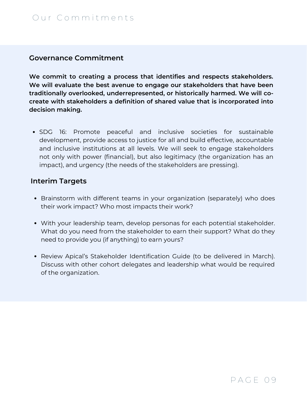#### **Governance Commitment**

**We commit to creating a process that identifies and respects stakeholders. We will evaluate the best avenue to engage our stakeholders that have been traditionally overlooked, underrepresented, or historically harmed. We will cocreate with stakeholders a definition of shared value that is incorporated into decision making.**

SDG 16: Promote peaceful and inclusive societies for sustainable [development,](https://sdgs.un.org/goals/goal12) provide access to justice for all and build effective, accountable and inclusive institutions at all levels. We will seek to engage stakeholders not only with power (financial), but also legitimacy (the organization has an impact), and urgency (the needs of the stakeholders are pressing)[.](https://sdgs.un.org/goals/goal12)

#### **Interim Targets**

- Brainstorm with different teams in your [organization \(separately\)](https://sdgs.un.org/goals/goal12) who does their work impact? Who most impacts their work[?](https://sdgs.un.org/goals/goal12)
- With your leadership team, develop personas for each potential [stakeholder.](https://sdgs.un.org/goals/goal12) What do you need from the stakeholder to earn their support? What do they need to provide you (if anything) to earn yours[?](https://sdgs.un.org/goals/goal12)
- Review Apical's Stakeholder [Identification Guide](https://sdgs.un.org/goals/goal12) (to be delivered in March). Discuss with other cohort delegates and leadership what would be required of the organization.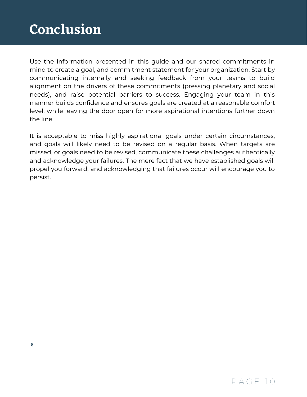# **Conclusion**

Use the information presented in this guide and our shared commitments in mind to create a goal, and commitment statement for your organization. Start by communicating internally and seeking feedback from your teams to build alignment on the drivers of these commitments (pressing planetary and social needs), and raise potential barriers to success. Engaging your team in this manner builds confidence and ensures goals are created at a reasonable comfort level, while leaving the door open for more aspirational intentions further down the line.

It is acceptable to miss highly aspirational goals under certain circumstances, and goals will likely need to be revised on a regular basis. When targets are missed, or goals need to be revised, communicate these challenges authentically and acknowledge your failures. The mere fact that we have established goals will propel you forward, and acknowledging that failures occur will encourage you to persist.